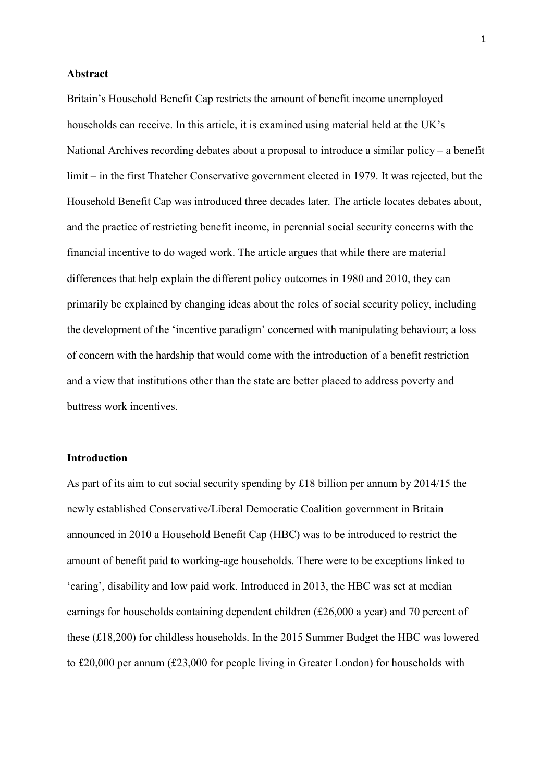### **Abstract**

Britain's Household Benefit Cap restricts the amount of benefit income unemployed households can receive. In this article, it is examined using material held at the UK's National Archives recording debates about a proposal to introduce a similar policy – a benefit limit – in the first Thatcher Conservative government elected in 1979. It was rejected, but the Household Benefit Cap was introduced three decades later. The article locates debates about, and the practice of restricting benefit income, in perennial social security concerns with the financial incentive to do waged work. The article argues that while there are material differences that help explain the different policy outcomes in 1980 and 2010, they can primarily be explained by changing ideas about the roles of social security policy, including the development of the 'incentive paradigm' concerned with manipulating behaviour; a loss of concern with the hardship that would come with the introduction of a benefit restriction and a view that institutions other than the state are better placed to address poverty and buttress work incentives.

# **Introduction**

As part of its aim to cut social security spending by £18 billion per annum by 2014/15 the newly established Conservative/Liberal Democratic Coalition government in Britain announced in 2010 a Household Benefit Cap (HBC) was to be introduced to restrict the amount of benefit paid to working-age households. There were to be exceptions linked to 'caring', disability and low paid work. Introduced in 2013, the HBC was set at median earnings for households containing dependent children (£26,000 a year) and 70 percent of these (£18,200) for childless households. In the 2015 Summer Budget the HBC was lowered to £20,000 per annum (£23,000 for people living in Greater London) for households with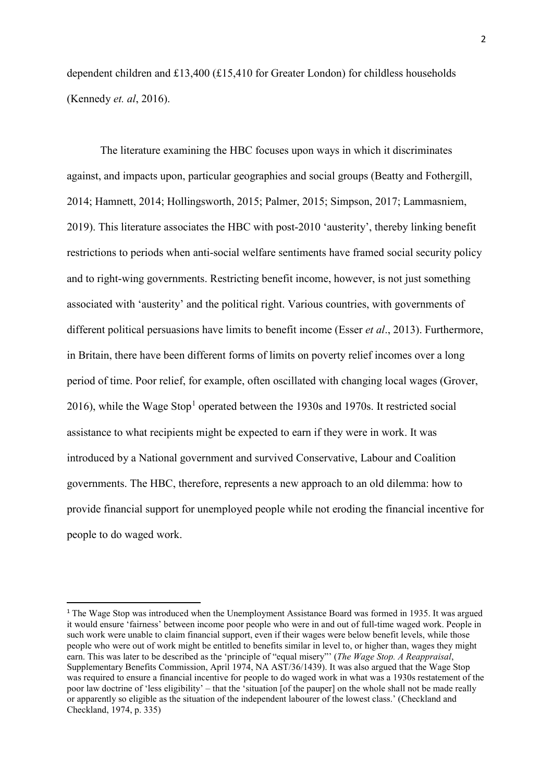dependent children and £13,400 (£15,410 for Greater London) for childless households (Kennedy *et. al*, 2016).

The literature examining the HBC focuses upon ways in which it discriminates against, and impacts upon, particular geographies and social groups (Beatty and Fothergill, 2014; Hamnett, 2014; Hollingsworth, 2015; Palmer, 2015; Simpson, 2017; Lammasniem, 2019). This literature associates the HBC with post-2010 'austerity', thereby linking benefit restrictions to periods when anti-social welfare sentiments have framed social security policy and to right-wing governments. Restricting benefit income, however, is not just something associated with 'austerity' and the political right. Various countries, with governments of different political persuasions have limits to benefit income (Esser *et al*., 2013). Furthermore, in Britain, there have been different forms of limits on poverty relief incomes over a long period of time. Poor relief, for example, often oscillated with changing local wages (Grover, 20[1](#page-1-0)6), while the Wage Stop<sup>1</sup> operated between the 1930s and 1970s. It restricted social assistance to what recipients might be expected to earn if they were in work. It was introduced by a National government and survived Conservative, Labour and Coalition governments. The HBC, therefore, represents a new approach to an old dilemma: how to provide financial support for unemployed people while not eroding the financial incentive for people to do waged work.

<span id="page-1-0"></span> <sup>1</sup> The Wage Stop was introduced when the Unemployment Assistance Board was formed in 1935. It was argued it would ensure 'fairness' between income poor people who were in and out of full-time waged work. People in such work were unable to claim financial support, even if their wages were below benefit levels, while those people who were out of work might be entitled to benefits similar in level to, or higher than, wages they might earn. This was later to be described as the 'principle of "equal misery"' (*The Wage Stop. A Reappraisal*, Supplementary Benefits Commission, April 1974, NA AST/36/1439). It was also argued that the Wage Stop was required to ensure a financial incentive for people to do waged work in what was a 1930s restatement of the poor law doctrine of 'less eligibility' – that the 'situation [of the pauper] on the whole shall not be made really or apparently so eligible as the situation of the independent labourer of the lowest class.' (Checkland and Checkland, 1974, p. 335)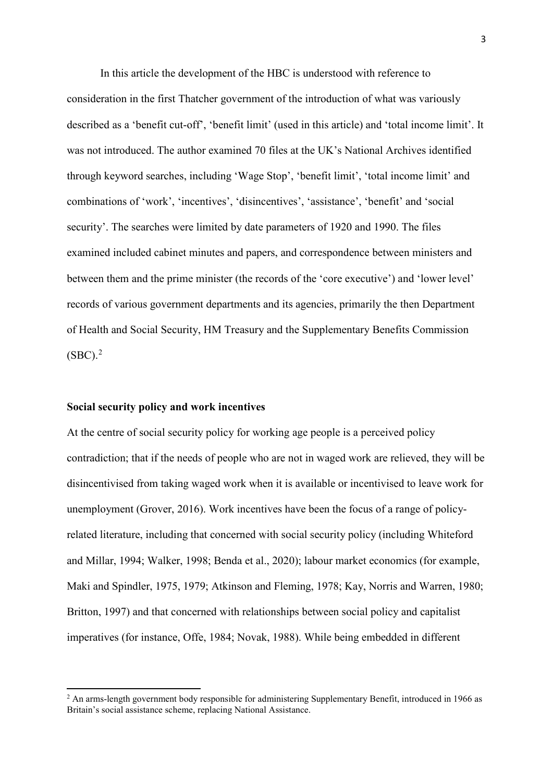In this article the development of the HBC is understood with reference to consideration in the first Thatcher government of the introduction of what was variously described as a 'benefit cut-off', 'benefit limit' (used in this article) and 'total income limit'. It was not introduced. The author examined 70 files at the UK's National Archives identified through keyword searches, including 'Wage Stop', 'benefit limit', 'total income limit' and combinations of 'work', 'incentives', 'disincentives', 'assistance', 'benefit' and 'social security'. The searches were limited by date parameters of 1920 and 1990. The files examined included cabinet minutes and papers, and correspondence between ministers and between them and the prime minister (the records of the 'core executive') and 'lower level' records of various government departments and its agencies, primarily the then Department of Health and Social Security, HM Treasury and the Supplementary Benefits Commission  $(SBC).<sup>2</sup>$  $(SBC).<sup>2</sup>$  $(SBC).<sup>2</sup>$ 

#### **Social security policy and work incentives**

 $\overline{\phantom{a}}$ 

At the centre of social security policy for working age people is a perceived policy contradiction; that if the needs of people who are not in waged work are relieved, they will be disincentivised from taking waged work when it is available or incentivised to leave work for unemployment (Grover, 2016). Work incentives have been the focus of a range of policyrelated literature, including that concerned with social security policy (including Whiteford and Millar, 1994; Walker, 1998; Benda et al., 2020); labour market economics (for example, Maki and Spindler, 1975, 1979; Atkinson and Fleming, 1978; Kay, Norris and Warren, 1980; Britton, 1997) and that concerned with relationships between social policy and capitalist imperatives (for instance, Offe, 1984; Novak, 1988). While being embedded in different

<span id="page-2-0"></span><sup>&</sup>lt;sup>2</sup> An arms-length government body responsible for administering Supplementary Benefit, introduced in 1966 as Britain's social assistance scheme, replacing National Assistance.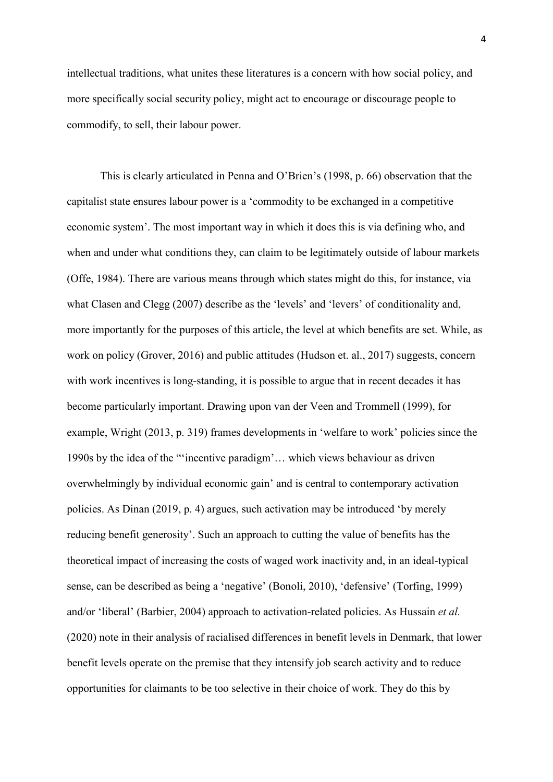intellectual traditions, what unites these literatures is a concern with how social policy, and more specifically social security policy, might act to encourage or discourage people to commodify, to sell, their labour power.

This is clearly articulated in Penna and O'Brien's (1998, p. 66) observation that the capitalist state ensures labour power is a 'commodity to be exchanged in a competitive economic system'. The most important way in which it does this is via defining who, and when and under what conditions they, can claim to be legitimately outside of labour markets (Offe, 1984). There are various means through which states might do this, for instance, via what Clasen and Clegg (2007) describe as the 'levels' and 'levers' of conditionality and, more importantly for the purposes of this article, the level at which benefits are set. While, as work on policy (Grover, 2016) and public attitudes (Hudson et. al., 2017) suggests, concern with work incentives is long-standing, it is possible to argue that in recent decades it has become particularly important. Drawing upon van der Veen and Trommell (1999), for example, Wright (2013, p. 319) frames developments in 'welfare to work' policies since the 1990s by the idea of the "'incentive paradigm'… which views behaviour as driven overwhelmingly by individual economic gain' and is central to contemporary activation policies. As Dinan (2019, p. 4) argues, such activation may be introduced 'by merely reducing benefit generosity'. Such an approach to cutting the value of benefits has the theoretical impact of increasing the costs of waged work inactivity and, in an ideal-typical sense, can be described as being a 'negative' (Bonoli, 2010), 'defensive' (Torfing, 1999) and/or 'liberal' (Barbier, 2004) approach to activation-related policies. As Hussain *et al.* (2020) note in their analysis of racialised differences in benefit levels in Denmark, that lower benefit levels operate on the premise that they intensify job search activity and to reduce opportunities for claimants to be too selective in their choice of work. They do this by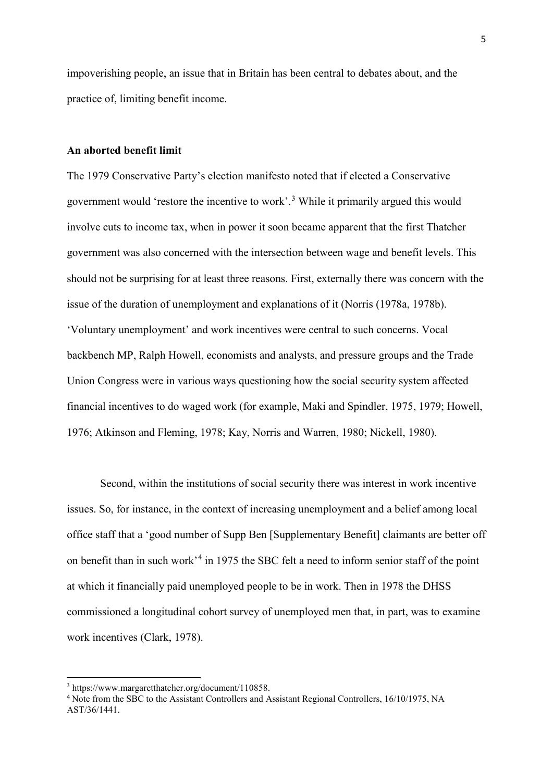impoverishing people, an issue that in Britain has been central to debates about, and the practice of, limiting benefit income.

# **An aborted benefit limit**

The 1979 Conservative Party's election manifesto noted that if elected a Conservative government would 'restore the incentive to work'. [3](#page-4-0) While it primarily argued this would involve cuts to income tax, when in power it soon became apparent that the first Thatcher government was also concerned with the intersection between wage and benefit levels. This should not be surprising for at least three reasons. First, externally there was concern with the issue of the duration of unemployment and explanations of it (Norris (1978a, 1978b). 'Voluntary unemployment' and work incentives were central to such concerns. Vocal backbench MP, Ralph Howell, economists and analysts, and pressure groups and the Trade Union Congress were in various ways questioning how the social security system affected financial incentives to do waged work (for example, Maki and Spindler, 1975, 1979; Howell, 1976; Atkinson and Fleming, 1978; Kay, Norris and Warren, 1980; Nickell, 1980).

Second, within the institutions of social security there was interest in work incentive issues. So, for instance, in the context of increasing unemployment and a belief among local office staff that a 'good number of Supp Ben [Supplementary Benefit] claimants are better off on benefit than in such work<sup>3[4](#page-4-1)</sup> in 1975 the SBC felt a need to inform senior staff of the point at which it financially paid unemployed people to be in work. Then in 1978 the DHSS commissioned a longitudinal cohort survey of unemployed men that, in part, was to examine work incentives (Clark, 1978).

**.** 

<span id="page-4-0"></span><sup>3</sup> https://www.margaretthatcher.org/document/110858.

<span id="page-4-1"></span><sup>4</sup> Note from the SBC to the Assistant Controllers and Assistant Regional Controllers, 16/10/1975, NA AST/36/1441.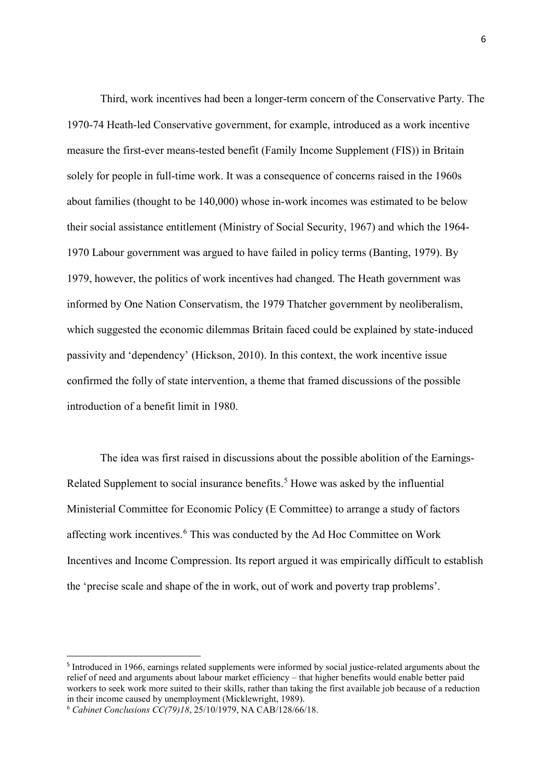Third, work incentives had been a longer-term concern of the Conservative Party. The 1970-74 Heath-led Conservative government, for example, introduced as a work incentive measure the first-ever means-tested benefit (Family Income Supplement (FIS)) in Britain solely for people in full-time work. It was a consequence of concerns raised in the 1960s about families (thought to be 140,000) whose in-work incomes was estimated to be below their social assistance entitlement (Ministry of Social Security, 1967) and which the 1964- 1970 Labour government was argued to have failed in policy terms (Banting, 1979). By 1979, however, the politics of work incentives had changed. The Heath government was informed by One Nation Conservatism, the 1979 Thatcher government by neoliberalism, which suggested the economic dilemmas Britain faced could be explained by state-induced passivity and 'dependency' (Hickson, 2010). In this context, the work incentive issue confirmed the folly of state intervention, a theme that framed discussions of the possible introduction of a benefit limit in 1980.

The idea was first raised in discussions about the possible abolition of the Earnings-Related Supplement to social insurance benefits. [5](#page-5-0) Howe was asked by the influential Ministerial Committee for Economic Policy (E Committee) to arrange a study of factors affecting work incentives.[6](#page-5-1) This was conducted by the Ad Hoc Committee on Work Incentives and Income Compression. Its report argued it was empirically difficult to establish the 'precise scale and shape of the in work, out of work and poverty trap problems'.

<span id="page-5-0"></span> <sup>5</sup> Introduced in 1966, earnings related supplements were informed by social justice-related arguments about the relief of need and arguments about labour market efficiency – that higher benefits would enable better paid workers to seek work more suited to their skills, rather than taking the first available job because of a reduction in their income caused by unemployment (Micklewright, 1989).

<span id="page-5-1"></span><sup>6</sup> *Cabinet Conclusions CC(79)18*, 25/10/1979, NA CAB/128/66/18.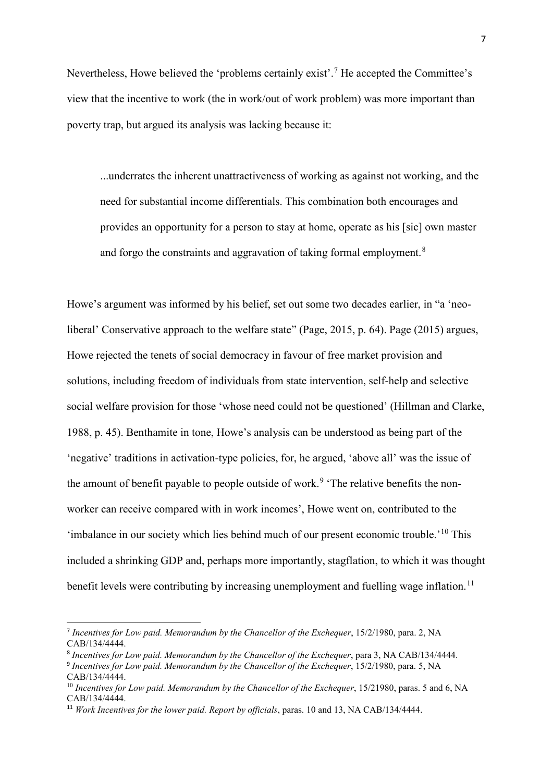Nevertheless, Howe believed the 'problems certainly exist'.<sup>[7](#page-6-0)</sup> He accepted the Committee's view that the incentive to work (the in work/out of work problem) was more important than poverty trap, but argued its analysis was lacking because it:

...underrates the inherent unattractiveness of working as against not working, and the need for substantial income differentials. This combination both encourages and provides an opportunity for a person to stay at home, operate as his [sic] own master and forgo the constraints and aggravation of taking formal employment.<sup>[8](#page-6-1)</sup>

Howe's argument was informed by his belief, set out some two decades earlier, in "a 'neoliberal' Conservative approach to the welfare state" (Page, 2015, p. 64). Page (2015) argues, Howe rejected the tenets of social democracy in favour of free market provision and solutions, including freedom of individuals from state intervention, self-help and selective social welfare provision for those 'whose need could not be questioned' (Hillman and Clarke, 1988, p. 45). Benthamite in tone, Howe's analysis can be understood as being part of the 'negative' traditions in activation-type policies, for, he argued, 'above all' was the issue of the amount of benefit payable to people outside of work.<sup>[9](#page-6-2)</sup> 'The relative benefits the nonworker can receive compared with in work incomes', Howe went on, contributed to the 'imbalance in our society which lies behind much of our present economic trouble.'<sup>[10](#page-6-3)</sup> This included a shrinking GDP and, perhaps more importantly, stagflation, to which it was thought benefit levels were contributing by increasing unemployment and fuelling wage inflation.<sup>[11](#page-6-4)</sup>

<span id="page-6-0"></span> <sup>7</sup> *Incentives for Low paid. Memorandum by the Chancellor of the Exchequer*, 15/2/1980, para. 2, NA CAB/134/4444.

<span id="page-6-2"></span><span id="page-6-1"></span><sup>8</sup> *Incentives for Low paid. Memorandum by the Chancellor of the Exchequer*, para 3, NA CAB/134/4444. <sup>9</sup> *Incentives for Low paid. Memorandum by the Chancellor of the Exchequer*, 15/2/1980, para. 5, NA CAB/134/4444.

<span id="page-6-3"></span><sup>&</sup>lt;sup>10</sup> Incentives for Low paid. Memorandum by the Chancellor of the Exchequer, 15/21980, paras. 5 and 6, NA CAB/134/4444.

<span id="page-6-4"></span><sup>11</sup> *Work Incentives for the lower paid. Report by officials*, paras. 10 and 13, NA CAB/134/4444.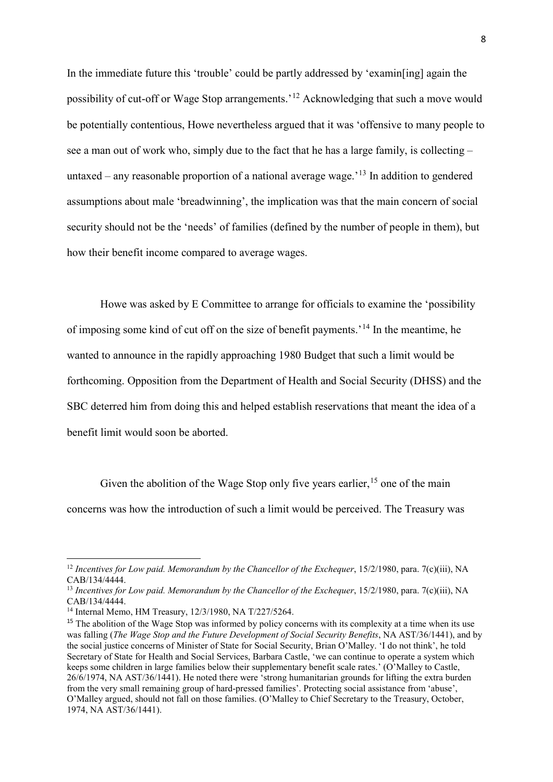In the immediate future this 'trouble' could be partly addressed by 'examin[ing] again the possibility of cut-off or Wage Stop arrangements.'[12](#page-7-0) Acknowledging that such a move would be potentially contentious, Howe nevertheless argued that it was 'offensive to many people to see a man out of work who, simply due to the fact that he has a large family, is collecting – untaxed – any reasonable proportion of a national average wage.<sup> $13$ </sup> In addition to gendered assumptions about male 'breadwinning', the implication was that the main concern of social security should not be the 'needs' of families (defined by the number of people in them), but how their benefit income compared to average wages.

Howe was asked by E Committee to arrange for officials to examine the 'possibility of imposing some kind of cut off on the size of benefit payments.'[14](#page-7-2) In the meantime, he wanted to announce in the rapidly approaching 1980 Budget that such a limit would be forthcoming. Opposition from the Department of Health and Social Security (DHSS) and the SBC deterred him from doing this and helped establish reservations that meant the idea of a benefit limit would soon be aborted.

Given the abolition of the Wage Stop only five years earlier,  $15$  one of the main concerns was how the introduction of such a limit would be perceived. The Treasury was

 $\overline{\phantom{a}}$ 

<span id="page-7-0"></span><sup>&</sup>lt;sup>12</sup> Incentives for Low paid. Memorandum by the Chancellor of the Exchequer, 15/2/1980, para. 7(c)(iii), NA CAB/134/4444.

<span id="page-7-1"></span><sup>&</sup>lt;sup>13</sup> Incentives for Low paid. Memorandum by the Chancellor of the Exchequer, 15/2/1980, para. 7(c)(iii), NA CAB/134/4444.

<span id="page-7-2"></span><sup>14</sup> Internal Memo, HM Treasury, 12/3/1980, NA T/227/5264.

<span id="page-7-3"></span><sup>&</sup>lt;sup>15</sup> The abolition of the Wage Stop was informed by policy concerns with its complexity at a time when its use was falling (*The Wage Stop and the Future Development of Social Security Benefits*, NA AST/36/1441), and by the social justice concerns of Minister of State for Social Security, Brian O'Malley. 'I do not think', he told Secretary of State for Health and Social Services, Barbara Castle, 'we can continue to operate a system which keeps some children in large families below their supplementary benefit scale rates.' (O'Malley to Castle, 26/6/1974, NA AST/36/1441). He noted there were 'strong humanitarian grounds for lifting the extra burden from the very small remaining group of hard-pressed families'. Protecting social assistance from 'abuse', O'Malley argued, should not fall on those families. (O'Malley to Chief Secretary to the Treasury, October, 1974, NA AST/36/1441).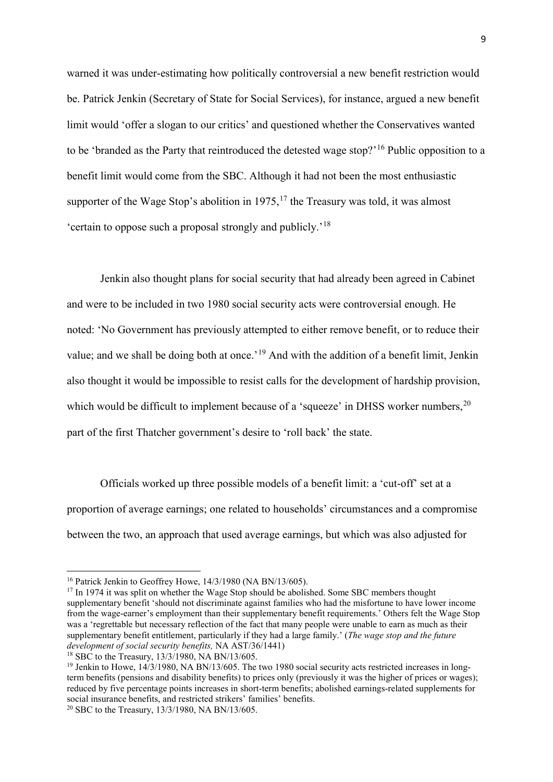warned it was under-estimating how politically controversial a new benefit restriction would be. Patrick Jenkin (Secretary of State for Social Services), for instance, argued a new benefit limit would 'offer a slogan to our critics' and questioned whether the Conservatives wanted to be 'branded as the Party that reintroduced the detested wage stop?'<sup>[16](#page-8-0)</sup> Public opposition to a benefit limit would come from the SBC. Although it had not been the most enthusiastic supporter of the Wage Stop's abolition in  $1975$ ,<sup>[17](#page-8-1)</sup> the Treasury was told, it was almost 'certain to oppose such a proposal strongly and publicly.'[18](#page-8-2)

Jenkin also thought plans for social security that had already been agreed in Cabinet and were to be included in two 1980 social security acts were controversial enough. He noted: 'No Government has previously attempted to either remove benefit, or to reduce their value; and we shall be doing both at once.'[19](#page-8-3) And with the addition of a benefit limit, Jenkin also thought it would be impossible to resist calls for the development of hardship provision, which would be difficult to implement because of a 'squeeze' in DHSS worker numbers,  $20$ part of the first Thatcher government's desire to 'roll back' the state.

Officials worked up three possible models of a benefit limit: a 'cut-off' set at a proportion of average earnings; one related to households' circumstances and a compromise between the two, an approach that used average earnings, but which was also adjusted for

<u>.</u>

<span id="page-8-0"></span><sup>&</sup>lt;sup>16</sup> Patrick Jenkin to Geoffrey Howe, 14/3/1980 (NA BN/13/605).

<span id="page-8-1"></span> $17$  In 1974 it was split on whether the Wage Stop should be abolished. Some SBC members thought supplementary benefit 'should not discriminate against families who had the misfortune to have lower income from the wage-earner's employment than their supplementary benefit requirements.' Others felt the Wage Stop was a 'regrettable but necessary reflection of the fact that many people were unable to earn as much as their supplementary benefit entitlement, particularly if they had a large family.' (*The wage stop and the future development of social security benefits,* NA AST/36/1441)

<span id="page-8-2"></span> $18$  SBC to the Treasury,  $13/3/1980$ , NA BN/13/605.

<span id="page-8-3"></span><sup>&</sup>lt;sup>19</sup> Jenkin to Howe, 14/3/1980, NA BN/13/605. The two 1980 social security acts restricted increases in longterm benefits (pensions and disability benefits) to prices only (previously it was the higher of prices or wages); reduced by five percentage points increases in short-term benefits; abolished earnings-related supplements for social insurance benefits, and restricted strikers' families' benefits.

<span id="page-8-4"></span><sup>20</sup> SBC to the Treasury, 13/3/1980, NA BN/13/605.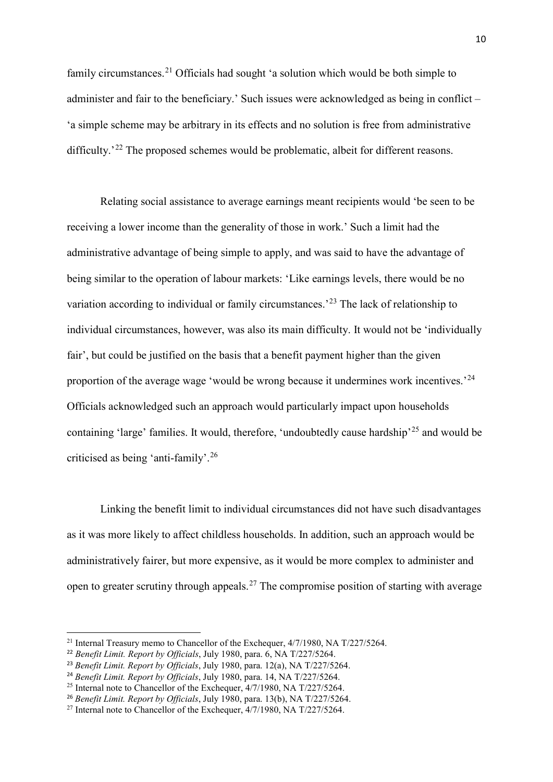family circumstances.<sup>[21](#page-9-0)</sup> Officials had sought 'a solution which would be both simple to administer and fair to the beneficiary.' Such issues were acknowledged as being in conflict – 'a simple scheme may be arbitrary in its effects and no solution is free from administrative difficulty.<sup>'[22](#page-9-1)</sup> The proposed schemes would be problematic, albeit for different reasons.

Relating social assistance to average earnings meant recipients would 'be seen to be receiving a lower income than the generality of those in work.' Such a limit had the administrative advantage of being simple to apply, and was said to have the advantage of being similar to the operation of labour markets: 'Like earnings levels, there would be no variation according to individual or family circumstances.<sup>[23](#page-9-2)</sup> The lack of relationship to individual circumstances, however, was also its main difficulty. It would not be 'individually fair', but could be justified on the basis that a benefit payment higher than the given proportion of the average wage 'would be wrong because it undermines work incentives.'[24](#page-9-3) Officials acknowledged such an approach would particularly impact upon households containing 'large' families. It would, therefore, 'undoubtedly cause hardship'<sup>[25](#page-9-4)</sup> and would be criticised as being 'anti-family'. [26](#page-9-5)

Linking the benefit limit to individual circumstances did not have such disadvantages as it was more likely to affect childless households. In addition, such an approach would be administratively fairer, but more expensive, as it would be more complex to administer and open to greater scrutiny through appeals.<sup>[27](#page-9-6)</sup> The compromise position of starting with average

<span id="page-9-0"></span><sup>&</sup>lt;sup>21</sup> Internal Treasury memo to Chancellor of the Exchequer,  $4/7/1980$ , NA T $/227/5264$ .

<span id="page-9-1"></span><sup>22</sup> *Benefit Limit. Report by Officials*, July 1980, para. 6, NA T/227/5264.

<span id="page-9-2"></span><sup>23</sup> *Benefit Limit. Report by Officials*, July 1980, para. 12(a), NA T/227/5264.

<span id="page-9-3"></span><sup>24</sup> *Benefit Limit. Report by Officials*, July 1980, para. 14, NA T/227/5264.

<span id="page-9-4"></span><sup>&</sup>lt;sup>25</sup> Internal note to Chancellor of the Exchequer,  $4/7/1980$ , NA T/227/5264.

<span id="page-9-5"></span><sup>26</sup> *Benefit Limit. Report by Officials*, July 1980, para. 13(b), NA T/227/5264.

<span id="page-9-6"></span><sup>&</sup>lt;sup>27</sup> Internal note to Chancellor of the Exchequer,  $4/7/1980$ , NA T $/227/5264$ .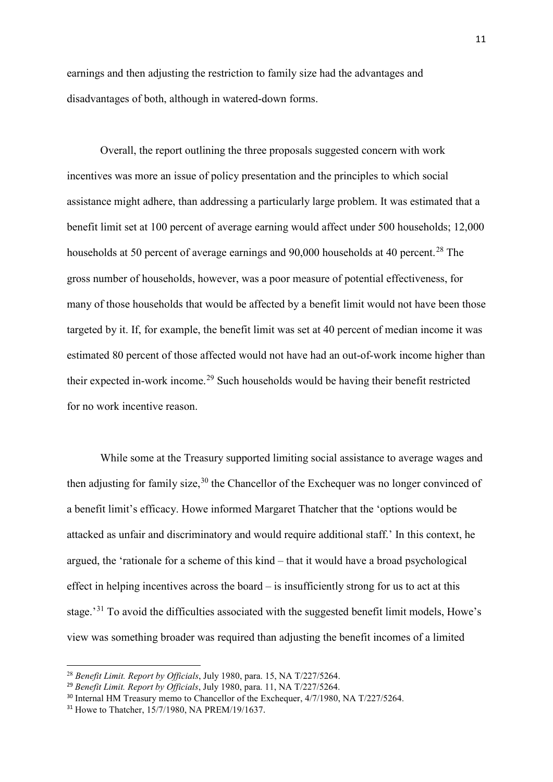earnings and then adjusting the restriction to family size had the advantages and disadvantages of both, although in watered-down forms.

Overall, the report outlining the three proposals suggested concern with work incentives was more an issue of policy presentation and the principles to which social assistance might adhere, than addressing a particularly large problem. It was estimated that a benefit limit set at 100 percent of average earning would affect under 500 households; 12,000 households at 50 percent of average earnings and  $90,000$  households at 40 percent.<sup>[28](#page-10-0)</sup> The gross number of households, however, was a poor measure of potential effectiveness, for many of those households that would be affected by a benefit limit would not have been those targeted by it. If, for example, the benefit limit was set at 40 percent of median income it was estimated 80 percent of those affected would not have had an out-of-work income higher than their expected in-work income.[29](#page-10-1) Such households would be having their benefit restricted for no work incentive reason.

While some at the Treasury supported limiting social assistance to average wages and then adjusting for family size,  $30$  the Chancellor of the Exchequer was no longer convinced of a benefit limit's efficacy. Howe informed Margaret Thatcher that the 'options would be attacked as unfair and discriminatory and would require additional staff.' In this context, he argued, the 'rationale for a scheme of this kind – that it would have a broad psychological effect in helping incentives across the board – is insufficiently strong for us to act at this stage.<sup>[31](#page-10-3)</sup> To avoid the difficulties associated with the suggested benefit limit models, Howe's view was something broader was required than adjusting the benefit incomes of a limited

**.** 

<span id="page-10-0"></span><sup>28</sup> *Benefit Limit. Report by Officials*, July 1980, para. 15, NA T/227/5264.

<span id="page-10-1"></span><sup>29</sup> *Benefit Limit. Report by Officials*, July 1980, para. 11, NA T/227/5264.

<span id="page-10-2"></span><sup>&</sup>lt;sup>30</sup> Internal HM Treasury memo to Chancellor of the Exchequer, 4/7/1980, NA T/227/5264.

<span id="page-10-3"></span><sup>31</sup> Howe to Thatcher, 15/7/1980, NA PREM/19/1637.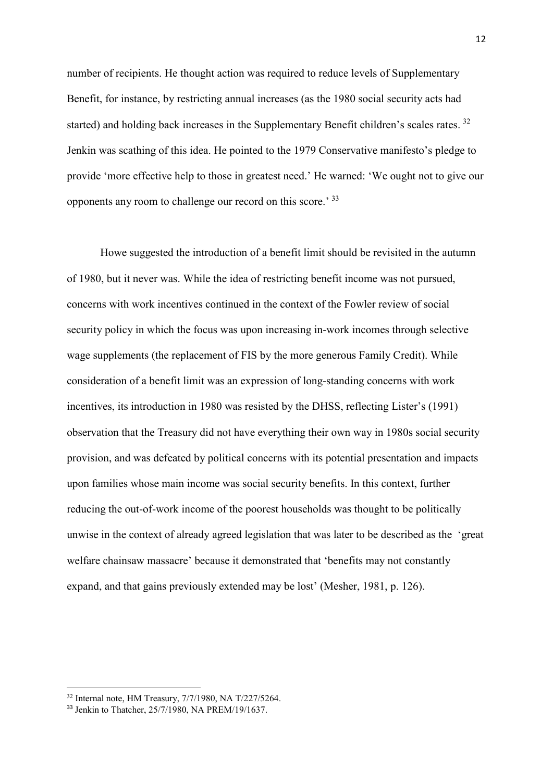number of recipients. He thought action was required to reduce levels of Supplementary Benefit, for instance, by restricting annual increases (as the 1980 social security acts had started) and holding back increases in the Supplementary Benefit children's scales rates.<sup>[32](#page-11-0)</sup> Jenkin was scathing of this idea. He pointed to the 1979 Conservative manifesto's pledge to provide 'more effective help to those in greatest need.' He warned: 'We ought not to give our opponents any room to challenge our record on this score.' [33](#page-11-1)

Howe suggested the introduction of a benefit limit should be revisited in the autumn of 1980, but it never was. While the idea of restricting benefit income was not pursued, concerns with work incentives continued in the context of the Fowler review of social security policy in which the focus was upon increasing in-work incomes through selective wage supplements (the replacement of FIS by the more generous Family Credit). While consideration of a benefit limit was an expression of long-standing concerns with work incentives, its introduction in 1980 was resisted by the DHSS, reflecting Lister's (1991) observation that the Treasury did not have everything their own way in 1980s social security provision, and was defeated by political concerns with its potential presentation and impacts upon families whose main income was social security benefits. In this context, further reducing the out-of-work income of the poorest households was thought to be politically unwise in the context of already agreed legislation that was later to be described as the 'great welfare chainsaw massacre' because it demonstrated that 'benefits may not constantly expand, and that gains previously extended may be lost' (Mesher, 1981, p. 126).

<span id="page-11-0"></span><sup>32</sup> Internal note, HM Treasury, 7/7/1980, NA T/227/5264.

<span id="page-11-1"></span><sup>33</sup> Jenkin to Thatcher, 25/7/1980, NA PREM/19/1637.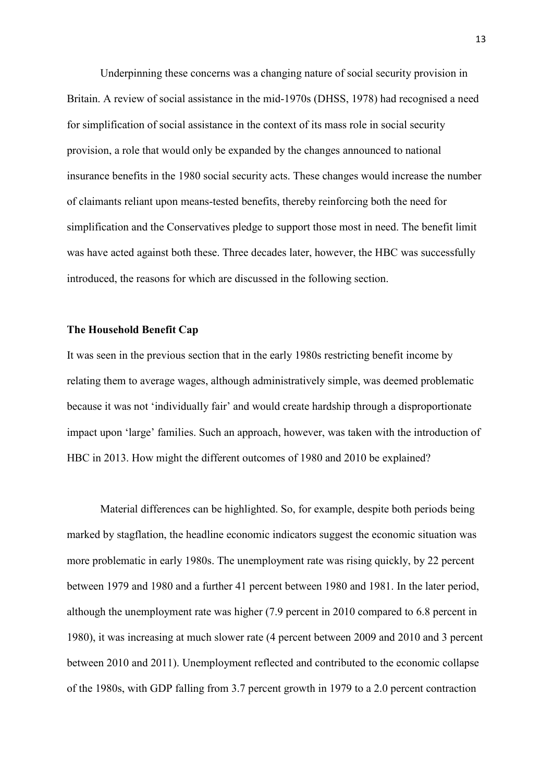Underpinning these concerns was a changing nature of social security provision in Britain. A review of social assistance in the mid-1970s (DHSS, 1978) had recognised a need for simplification of social assistance in the context of its mass role in social security provision, a role that would only be expanded by the changes announced to national insurance benefits in the 1980 social security acts. These changes would increase the number of claimants reliant upon means-tested benefits, thereby reinforcing both the need for simplification and the Conservatives pledge to support those most in need. The benefit limit was have acted against both these. Three decades later, however, the HBC was successfully introduced, the reasons for which are discussed in the following section.

## **The Household Benefit Cap**

It was seen in the previous section that in the early 1980s restricting benefit income by relating them to average wages, although administratively simple, was deemed problematic because it was not 'individually fair' and would create hardship through a disproportionate impact upon 'large' families. Such an approach, however, was taken with the introduction of HBC in 2013. How might the different outcomes of 1980 and 2010 be explained?

Material differences can be highlighted. So, for example, despite both periods being marked by stagflation, the headline economic indicators suggest the economic situation was more problematic in early 1980s. The unemployment rate was rising quickly, by 22 percent between 1979 and 1980 and a further 41 percent between 1980 and 1981. In the later period, although the unemployment rate was higher (7.9 percent in 2010 compared to 6.8 percent in 1980), it was increasing at much slower rate (4 percent between 2009 and 2010 and 3 percent between 2010 and 2011). Unemployment reflected and contributed to the economic collapse of the 1980s, with GDP falling from 3.7 percent growth in 1979 to a 2.0 percent contraction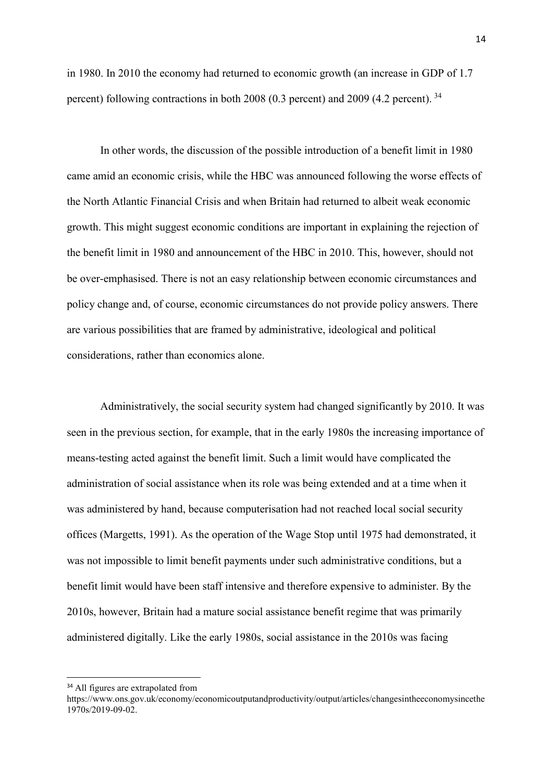in 1980. In 2010 the economy had returned to economic growth (an increase in GDP of 1.7 percent) following contractions in both 2008 (0.3 percent) and 2009 (4.2 percent). [34](#page-13-0)

In other words, the discussion of the possible introduction of a benefit limit in 1980 came amid an economic crisis, while the HBC was announced following the worse effects of the North Atlantic Financial Crisis and when Britain had returned to albeit weak economic growth. This might suggest economic conditions are important in explaining the rejection of the benefit limit in 1980 and announcement of the HBC in 2010. This, however, should not be over-emphasised. There is not an easy relationship between economic circumstances and policy change and, of course, economic circumstances do not provide policy answers. There are various possibilities that are framed by administrative, ideological and political considerations, rather than economics alone.

Administratively, the social security system had changed significantly by 2010. It was seen in the previous section, for example, that in the early 1980s the increasing importance of means-testing acted against the benefit limit. Such a limit would have complicated the administration of social assistance when its role was being extended and at a time when it was administered by hand, because computerisation had not reached local social security offices (Margetts, 1991). As the operation of the Wage Stop until 1975 had demonstrated, it was not impossible to limit benefit payments under such administrative conditions, but a benefit limit would have been staff intensive and therefore expensive to administer. By the 2010s, however, Britain had a mature social assistance benefit regime that was primarily administered digitally. Like the early 1980s, social assistance in the 2010s was facing

<span id="page-13-0"></span><sup>&</sup>lt;sup>34</sup> All figures are extrapolated from

https://www.ons.gov.uk/economy/economicoutputandproductivity/output/articles/changesintheeconomysincethe 1970s/2019-09-02.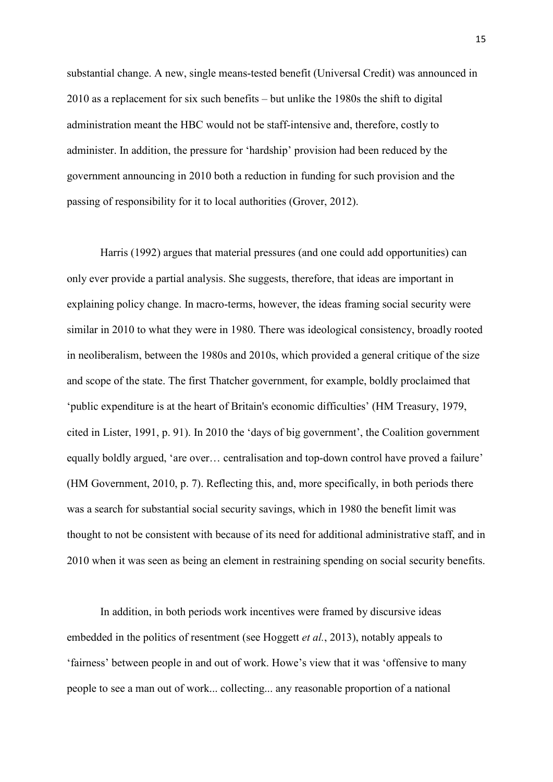substantial change. A new, single means-tested benefit (Universal Credit) was announced in 2010 as a replacement for six such benefits – but unlike the 1980s the shift to digital administration meant the HBC would not be staff-intensive and, therefore, costly to administer. In addition, the pressure for 'hardship' provision had been reduced by the government announcing in 2010 both a reduction in funding for such provision and the passing of responsibility for it to local authorities (Grover, 2012).

Harris (1992) argues that material pressures (and one could add opportunities) can only ever provide a partial analysis. She suggests, therefore, that ideas are important in explaining policy change. In macro-terms, however, the ideas framing social security were similar in 2010 to what they were in 1980. There was ideological consistency, broadly rooted in neoliberalism, between the 1980s and 2010s, which provided a general critique of the size and scope of the state. The first Thatcher government, for example, boldly proclaimed that 'public expenditure is at the heart of Britain's economic difficulties' (HM Treasury, 1979, cited in Lister, 1991, p. 91). In 2010 the 'days of big government', the Coalition government equally boldly argued, 'are over… centralisation and top-down control have proved a failure' (HM Government, 2010, p. 7). Reflecting this, and, more specifically, in both periods there was a search for substantial social security savings, which in 1980 the benefit limit was thought to not be consistent with because of its need for additional administrative staff, and in 2010 when it was seen as being an element in restraining spending on social security benefits.

In addition, in both periods work incentives were framed by discursive ideas embedded in the politics of resentment (see Hoggett *et al.*, 2013), notably appeals to 'fairness' between people in and out of work. Howe's view that it was 'offensive to many people to see a man out of work... collecting... any reasonable proportion of a national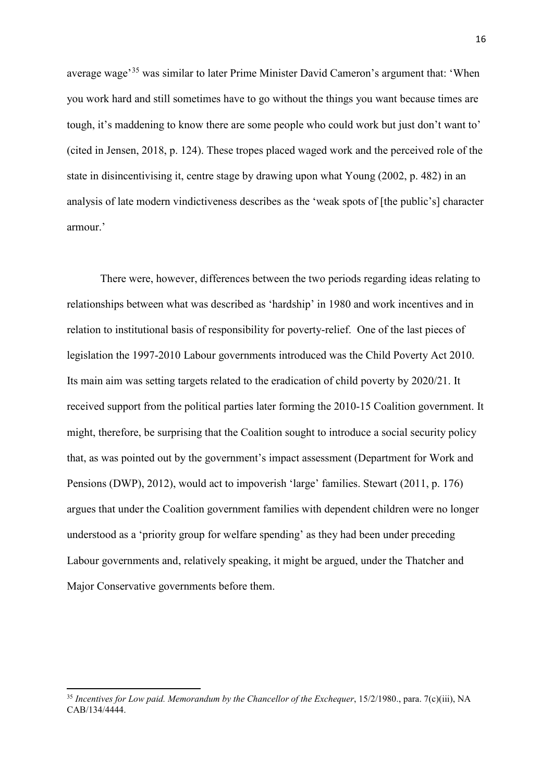average wage'[35](#page-15-0) was similar to later Prime Minister David Cameron's argument that: 'When you work hard and still sometimes have to go without the things you want because times are tough, it's maddening to know there are some people who could work but just don't want to' (cited in Jensen, 2018, p. 124). These tropes placed waged work and the perceived role of the state in disincentivising it, centre stage by drawing upon what Young (2002, p. 482) in an analysis of late modern vindictiveness describes as the 'weak spots of [the public's] character armour.'

There were, however, differences between the two periods regarding ideas relating to relationships between what was described as 'hardship' in 1980 and work incentives and in relation to institutional basis of responsibility for poverty-relief. One of the last pieces of legislation the 1997-2010 Labour governments introduced was the Child Poverty Act 2010. Its main aim was setting targets related to the eradication of child poverty by 2020/21. It received support from the political parties later forming the 2010-15 Coalition government. It might, therefore, be surprising that the Coalition sought to introduce a social security policy that, as was pointed out by the government's impact assessment (Department for Work and Pensions (DWP), 2012), would act to impoverish 'large' families. Stewart (2011, p. 176) argues that under the Coalition government families with dependent children were no longer understood as a 'priority group for welfare spending' as they had been under preceding Labour governments and, relatively speaking, it might be argued, under the Thatcher and Major Conservative governments before them.

<span id="page-15-0"></span><sup>&</sup>lt;sup>35</sup> Incentives for Low paid. Memorandum by the Chancellor of the Exchequer, 15/2/1980., para. 7(c)(iii), NA CAB/134/4444.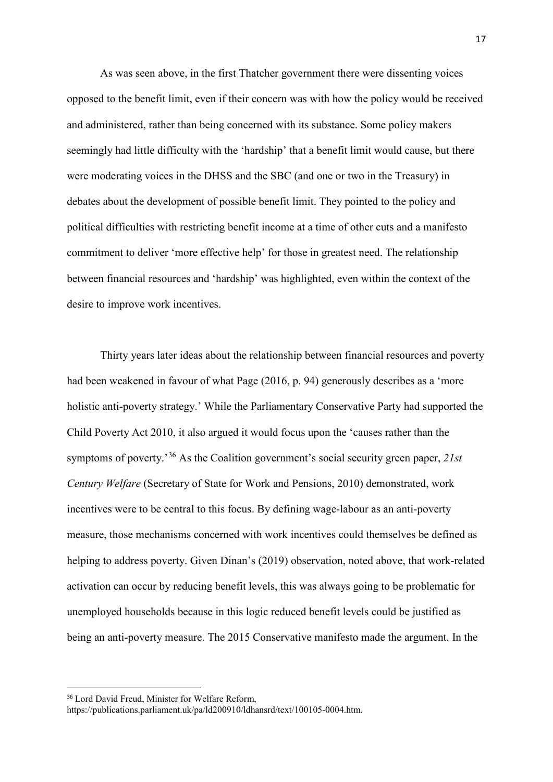As was seen above, in the first Thatcher government there were dissenting voices opposed to the benefit limit, even if their concern was with how the policy would be received and administered, rather than being concerned with its substance. Some policy makers seemingly had little difficulty with the 'hardship' that a benefit limit would cause, but there were moderating voices in the DHSS and the SBC (and one or two in the Treasury) in debates about the development of possible benefit limit. They pointed to the policy and political difficulties with restricting benefit income at a time of other cuts and a manifesto commitment to deliver 'more effective help' for those in greatest need. The relationship between financial resources and 'hardship' was highlighted, even within the context of the desire to improve work incentives.

Thirty years later ideas about the relationship between financial resources and poverty had been weakened in favour of what Page (2016, p. 94) generously describes as a 'more holistic anti-poverty strategy.' While the Parliamentary Conservative Party had supported the Child Poverty Act 2010, it also argued it would focus upon the 'causes rather than the symptoms of poverty.'[36](#page-16-0) As the Coalition government's social security green paper, *21st Century Welfare* (Secretary of State for Work and Pensions, 2010) demonstrated, work incentives were to be central to this focus. By defining wage-labour as an anti-poverty measure, those mechanisms concerned with work incentives could themselves be defined as helping to address poverty. Given Dinan's (2019) observation, noted above, that work-related activation can occur by reducing benefit levels, this was always going to be problematic for unemployed households because in this logic reduced benefit levels could be justified as being an anti-poverty measure. The 2015 Conservative manifesto made the argument. In the

https://publications.parliament.uk/pa/ld200910/ldhansrd/text/100105-0004.htm.

<span id="page-16-0"></span> <sup>36</sup> Lord David Freud, Minister for Welfare Reform,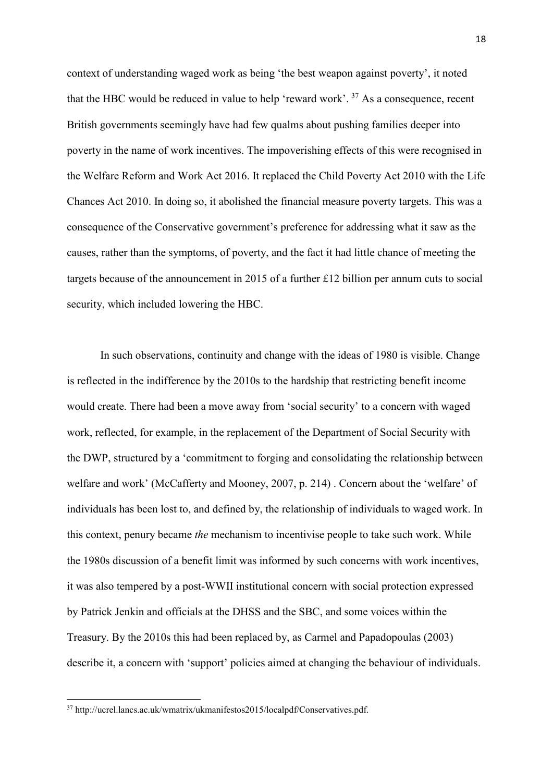context of understanding waged work as being 'the best weapon against poverty', it noted that the HBC would be reduced in value to help 'reward work'.  $37$  As a consequence, recent British governments seemingly have had few qualms about pushing families deeper into poverty in the name of work incentives. The impoverishing effects of this were recognised in the Welfare Reform and Work Act 2016. It replaced the Child Poverty Act 2010 with the Life Chances Act 2010. In doing so, it abolished the financial measure poverty targets. This was a consequence of the Conservative government's preference for addressing what it saw as the causes, rather than the symptoms, of poverty, and the fact it had little chance of meeting the targets because of the announcement in 2015 of a further £12 billion per annum cuts to social security, which included lowering the HBC.

In such observations, continuity and change with the ideas of 1980 is visible. Change is reflected in the indifference by the 2010s to the hardship that restricting benefit income would create. There had been a move away from 'social security' to a concern with waged work, reflected, for example, in the replacement of the Department of Social Security with the DWP, structured by a 'commitment to forging and consolidating the relationship between welfare and work' (McCafferty and Mooney, 2007, p. 214) . Concern about the 'welfare' of individuals has been lost to, and defined by, the relationship of individuals to waged work. In this context, penury became *the* mechanism to incentivise people to take such work. While the 1980s discussion of a benefit limit was informed by such concerns with work incentives, it was also tempered by a post-WWII institutional concern with social protection expressed by Patrick Jenkin and officials at the DHSS and the SBC, and some voices within the Treasury. By the 2010s this had been replaced by, as Carmel and Papadopoulas (2003) describe it, a concern with 'support' policies aimed at changing the behaviour of individuals.

<span id="page-17-0"></span><sup>37</sup> http://ucrel.lancs.ac.uk/wmatrix/ukmanifestos2015/localpdf/Conservatives.pdf.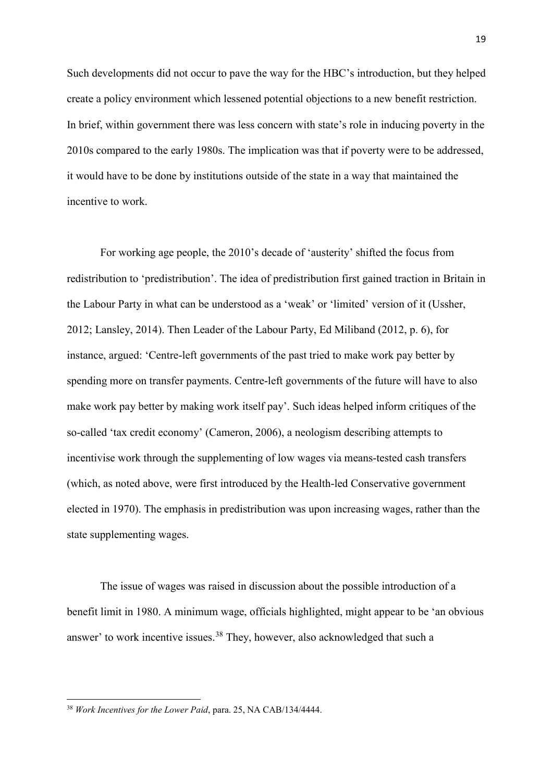Such developments did not occur to pave the way for the HBC's introduction, but they helped create a policy environment which lessened potential objections to a new benefit restriction. In brief, within government there was less concern with state's role in inducing poverty in the 2010s compared to the early 1980s. The implication was that if poverty were to be addressed, it would have to be done by institutions outside of the state in a way that maintained the incentive to work.

For working age people, the 2010's decade of 'austerity' shifted the focus from redistribution to 'predistribution'. The idea of predistribution first gained traction in Britain in the Labour Party in what can be understood as a 'weak' or 'limited' version of it (Ussher, 2012; Lansley, 2014). Then Leader of the Labour Party, Ed Miliband (2012, p. 6), for instance, argued: 'Centre‐left governments of the past tried to make work pay better by spending more on transfer payments. Centre-left governments of the future will have to also make work pay better by making work itself pay'. Such ideas helped inform critiques of the so-called 'tax credit economy' (Cameron, 2006), a neologism describing attempts to incentivise work through the supplementing of low wages via means-tested cash transfers (which, as noted above, were first introduced by the Health-led Conservative government elected in 1970). The emphasis in predistribution was upon increasing wages, rather than the state supplementing wages.

The issue of wages was raised in discussion about the possible introduction of a benefit limit in 1980. A minimum wage, officials highlighted, might appear to be 'an obvious answer' to work incentive issues.<sup>[38](#page-18-0)</sup> They, however, also acknowledged that such a

<span id="page-18-0"></span><sup>38</sup> *Work Incentives for the Lower Paid*, para. 25, NA CAB/134/4444.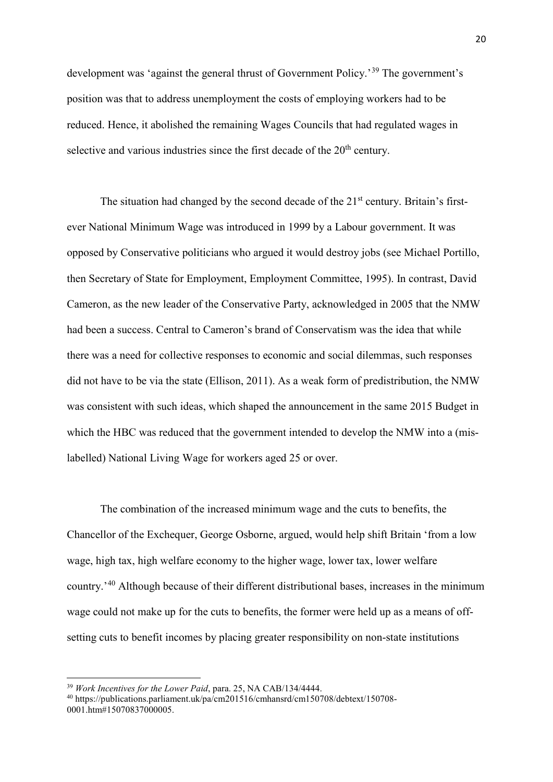development was 'against the general thrust of Government Policy.'[39](#page-19-0) The government's position was that to address unemployment the costs of employing workers had to be reduced. Hence, it abolished the remaining Wages Councils that had regulated wages in selective and various industries since the first decade of the  $20<sup>th</sup>$  century.

The situation had changed by the second decade of the  $21<sup>st</sup>$  century. Britain's firstever National Minimum Wage was introduced in 1999 by a Labour government. It was opposed by Conservative politicians who argued it would destroy jobs (see Michael Portillo, then Secretary of State for Employment, Employment Committee, 1995). In contrast, David Cameron, as the new leader of the Conservative Party, acknowledged in 2005 that the NMW had been a success. Central to Cameron's brand of Conservatism was the idea that while there was a need for collective responses to economic and social dilemmas, such responses did not have to be via the state (Ellison, 2011). As a weak form of predistribution, the NMW was consistent with such ideas, which shaped the announcement in the same 2015 Budget in which the HBC was reduced that the government intended to develop the NMW into a (mislabelled) National Living Wage for workers aged 25 or over.

The combination of the increased minimum wage and the cuts to benefits, the Chancellor of the Exchequer, George Osborne, argued, would help shift Britain 'from a low wage, high tax, high welfare economy to the higher wage, lower tax, lower welfare country.'[40](#page-19-1) Although because of their different distributional bases, increases in the minimum wage could not make up for the cuts to benefits, the former were held up as a means of offsetting cuts to benefit incomes by placing greater responsibility on non-state institutions

**.** 

<span id="page-19-0"></span><sup>39</sup> *Work Incentives for the Lower Paid*, para. 25, NA CAB/134/4444.

<span id="page-19-1"></span><sup>40</sup> https://publications.parliament.uk/pa/cm201516/cmhansrd/cm150708/debtext/150708- 0001.htm#15070837000005.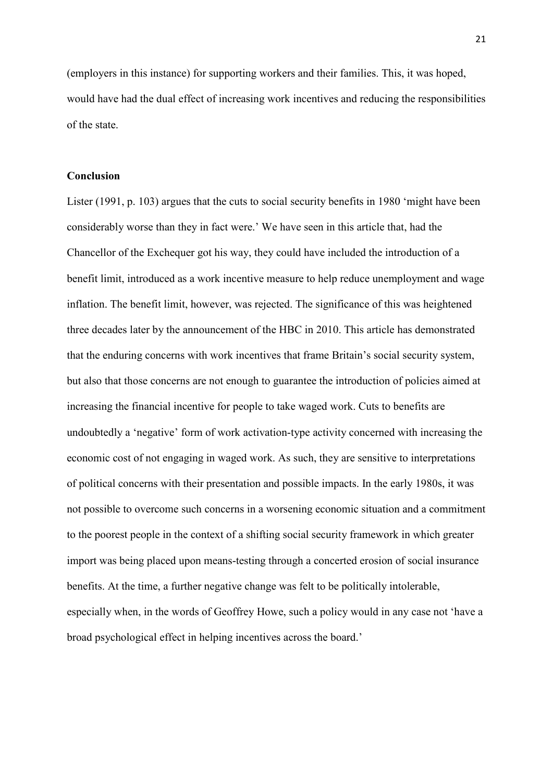(employers in this instance) for supporting workers and their families. This, it was hoped, would have had the dual effect of increasing work incentives and reducing the responsibilities of the state.

# **Conclusion**

Lister (1991, p. 103) argues that the cuts to social security benefits in 1980 'might have been considerably worse than they in fact were.' We have seen in this article that, had the Chancellor of the Exchequer got his way, they could have included the introduction of a benefit limit, introduced as a work incentive measure to help reduce unemployment and wage inflation. The benefit limit, however, was rejected. The significance of this was heightened three decades later by the announcement of the HBC in 2010. This article has demonstrated that the enduring concerns with work incentives that frame Britain's social security system, but also that those concerns are not enough to guarantee the introduction of policies aimed at increasing the financial incentive for people to take waged work. Cuts to benefits are undoubtedly a 'negative' form of work activation-type activity concerned with increasing the economic cost of not engaging in waged work. As such, they are sensitive to interpretations of political concerns with their presentation and possible impacts. In the early 1980s, it was not possible to overcome such concerns in a worsening economic situation and a commitment to the poorest people in the context of a shifting social security framework in which greater import was being placed upon means-testing through a concerted erosion of social insurance benefits. At the time, a further negative change was felt to be politically intolerable, especially when, in the words of Geoffrey Howe, such a policy would in any case not 'have a broad psychological effect in helping incentives across the board.'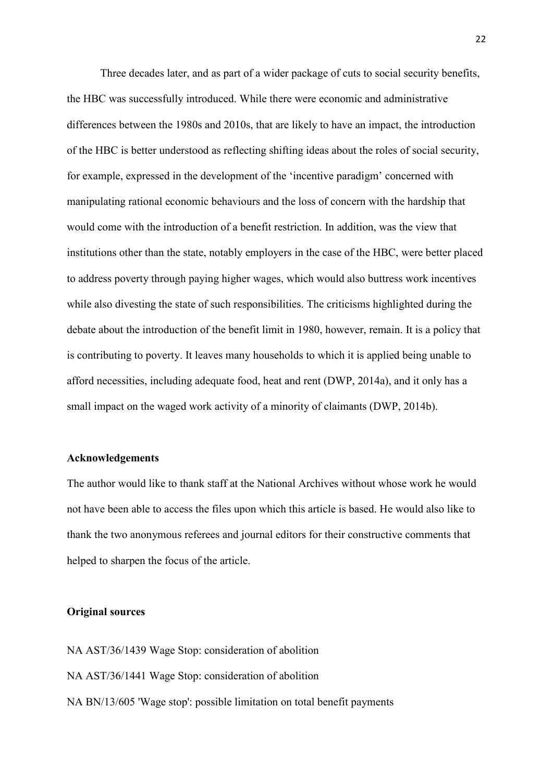Three decades later, and as part of a wider package of cuts to social security benefits, the HBC was successfully introduced. While there were economic and administrative differences between the 1980s and 2010s, that are likely to have an impact, the introduction of the HBC is better understood as reflecting shifting ideas about the roles of social security, for example, expressed in the development of the 'incentive paradigm' concerned with manipulating rational economic behaviours and the loss of concern with the hardship that would come with the introduction of a benefit restriction. In addition, was the view that institutions other than the state, notably employers in the case of the HBC, were better placed to address poverty through paying higher wages, which would also buttress work incentives while also divesting the state of such responsibilities. The criticisms highlighted during the debate about the introduction of the benefit limit in 1980, however, remain. It is a policy that is contributing to poverty. It leaves many households to which it is applied being unable to afford necessities, including adequate food, heat and rent (DWP, 2014a), and it only has a small impact on the waged work activity of a minority of claimants (DWP, 2014b).

#### **Acknowledgements**

The author would like to thank staff at the National Archives without whose work he would not have been able to access the files upon which this article is based. He would also like to thank the two anonymous referees and journal editors for their constructive comments that helped to sharpen the focus of the article.

#### **Original sources**

NA AST/36/1439 Wage Stop: consideration of abolition NA AST/36/1441 Wage Stop: consideration of abolition NA BN/13/605 'Wage stop': possible limitation on total benefit payments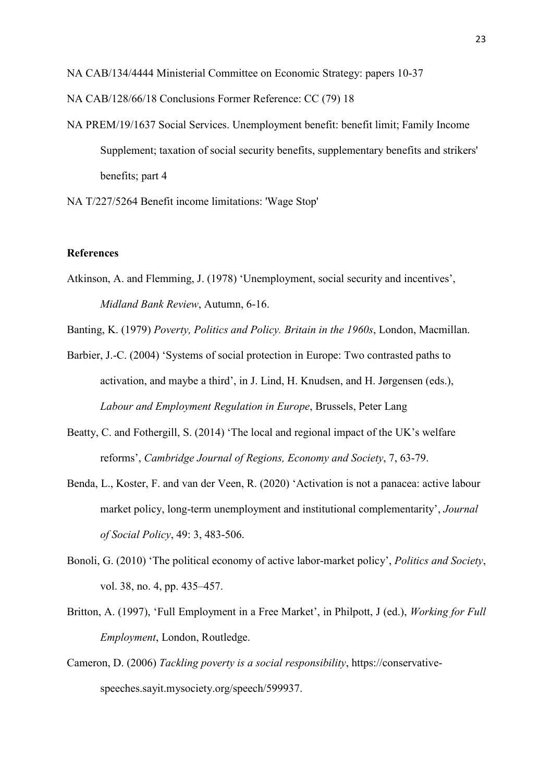NA CAB/134/4444 Ministerial Committee on Economic Strategy: papers 10-37

- NA CAB/128/66/18 Conclusions Former Reference: CC (79) 18
- NA PREM/19/1637 Social Services. Unemployment benefit: benefit limit; Family Income Supplement; taxation of social security benefits, supplementary benefits and strikers' benefits; part 4
- NA T/227/5264 Benefit income limitations: 'Wage Stop'

#### **References**

Atkinson, A. and Flemming, J. (1978) 'Unemployment, social security and incentives', *Midland Bank Review*, Autumn, 6-16.

Banting, K. (1979) *Poverty, Politics and Policy. Britain in the 1960s*, London, Macmillan.

- Barbier, J.-C. (2004) 'Systems of social protection in Europe: Two contrasted paths to activation, and maybe a third', in J. Lind, H. Knudsen, and H. Jørgensen (eds.), *Labour and Employment Regulation in Europe*, Brussels, Peter Lang
- Beatty, C. and Fothergill, S. (2014) 'The local and regional impact of the UK's welfare reforms', *Cambridge Journal of Regions, Economy and Society*, 7, 63-79.
- Benda, L., Koster, F. and van der Veen, R. (2020) 'Activation is not a panacea: active labour market policy, long-term unemployment and institutional complementarity', *Journal of Social Policy*, 49: 3, 483-506.
- Bonoli, G. (2010) 'The political economy of active labor-market policy', *Politics and Society*, vol. 38, no. 4, pp. 435–457.
- Britton, A. (1997), 'Full Employment in a Free Market', in Philpott, J (ed.), *Working for Full Employment*, London, Routledge.
- Cameron, D. (2006) *Tackling poverty is a social responsibility*, https://conservativespeeches.sayit.mysociety.org/speech/599937.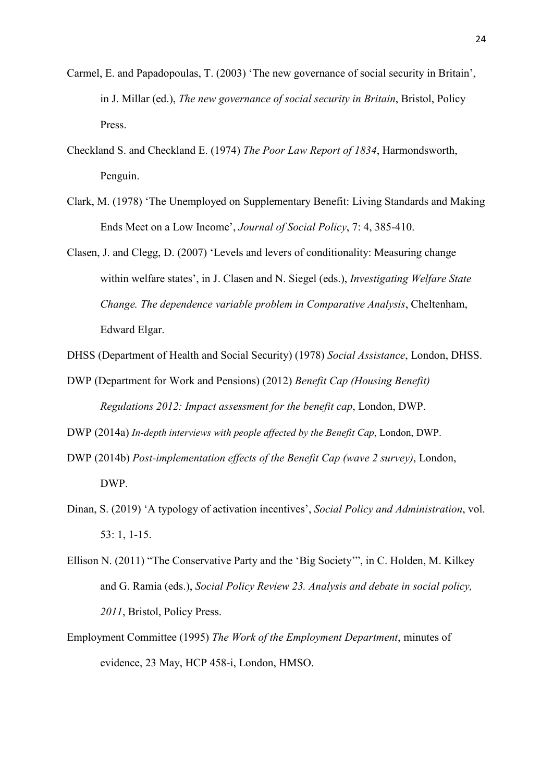- Carmel, E. and Papadopoulas, T. (2003) 'The new governance of social security in Britain', in J. Millar (ed.), *The new governance of social security in Britain*, Bristol, Policy Press.
- Checkland S. and Checkland E. (1974) *The Poor Law Report of 1834*, Harmondsworth, Penguin.
- Clark, M. (1978) 'The Unemployed on Supplementary Benefit: Living Standards and Making Ends Meet on a Low Income', *Journal of Social Policy*, 7: 4, 385-410.
- Clasen, J. and Clegg, D. (2007) 'Levels and levers of conditionality: Measuring change within welfare states', in J. Clasen and N. Siegel (eds.), *Investigating Welfare State Change. The dependence variable problem in Comparative Analysis*, Cheltenham, Edward Elgar.
- DHSS (Department of Health and Social Security) (1978) *Social Assistance*, London, DHSS.
- DWP (Department for Work and Pensions) (2012) *Benefit Cap (Housing Benefit) Regulations 2012: Impact assessment for the benefit cap*, London, DWP.
- DWP (2014a) *In-depth interviews with people affected by the Benefit Cap*, London, DWP.
- DWP (2014b) *Post-implementation effects of the Benefit Cap (wave 2 survey)*, London, DWP.
- Dinan, S. (2019) 'A typology of activation incentives', *Social Policy and Administration*, vol. 53: 1, 1-15.
- Ellison N. (2011) "The Conservative Party and the 'Big Society'", in C. Holden, M. Kilkey and G. Ramia (eds.), *Social Policy Review 23. Analysis and debate in social policy, 2011*, Bristol, Policy Press.
- Employment Committee (1995) *The Work of the Employment Department*, minutes of evidence, 23 May, HCP 458-i, London, HMSO.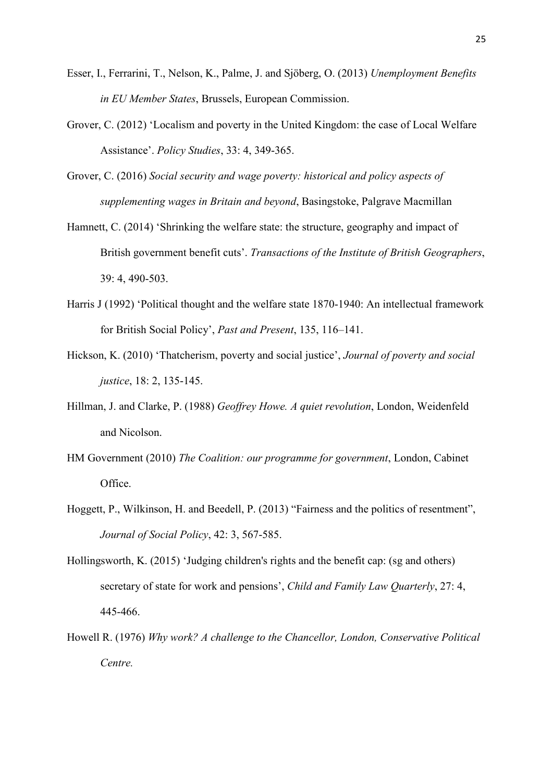- Esser, I., Ferrarini, T., Nelson, K., Palme, J. and Sjöberg, O. (2013) *Unemployment Benefits in EU Member States*, Brussels, European Commission.
- Grover, C. (2012) 'Localism and poverty in the United Kingdom: the case of Local Welfare Assistance'. *Policy Studies*, 33: 4, 349-365.
- Grover, C. (2016) *Social security and wage poverty: historical and policy aspects of supplementing wages in Britain and beyond*, Basingstoke, Palgrave Macmillan
- Hamnett, C. (2014) 'Shrinking the welfare state: the structure, geography and impact of British government benefit cuts'. *Transactions of the Institute of British Geographers*, 39: 4, 490-503.
- Harris J (1992) 'Political thought and the welfare state 1870-1940: An intellectual framework for British Social Policy', *Past and Present*, 135, 116–141.
- Hickson, K. (2010) 'Thatcherism, poverty and social justice', *Journal of poverty and social justice*, 18: 2, 135-145.
- Hillman, J. and Clarke, P. (1988) *Geoffrey Howe. A quiet revolution*, London, Weidenfeld and Nicolson.
- HM Government (2010) *The Coalition: our programme for government*, London, Cabinet Office.
- Hoggett, P., Wilkinson, H. and Beedell, P. (2013) "Fairness and the politics of resentment", *Journal of Social Policy*, 42: 3, 567-585.
- Hollingsworth, K. (2015) 'Judging children's rights and the benefit cap: (sg and others) secretary of state for work and pensions', *Child and Family Law Quarterly*, 27: 4, 445-466.
- Howell R. (1976) *Why work? A challenge to the Chancellor, London, Conservative Political Centre.*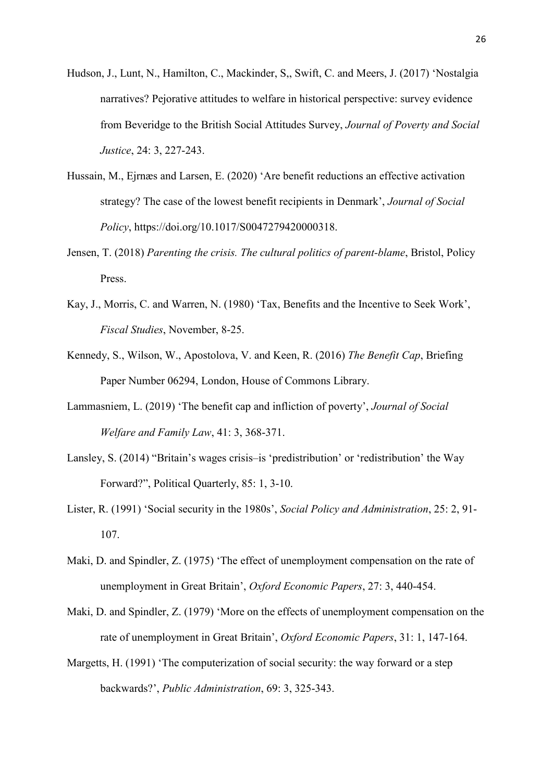- Hudson, J., Lunt, N., Hamilton, C., Mackinder, S,, Swift, C. and Meers, J. (2017) 'Nostalgia narratives? Pejorative attitudes to welfare in historical perspective: survey evidence from Beveridge to the British Social Attitudes Survey, *Journal of Poverty and Social Justice*, 24: 3, 227-243.
- Hussain, M., Ejrnæs and Larsen, E. (2020) 'Are benefit reductions an effective activation strategy? The case of the lowest benefit recipients in Denmark', *Journal of Social Policy*, https://doi.org/10.1017/S0047279420000318.
- Jensen, T. (2018) *Parenting the crisis. The cultural politics of parent-blame*, Bristol, Policy Press.
- Kay, J., Morris, C. and Warren, N. (1980) 'Tax, Benefits and the Incentive to Seek Work', *Fiscal Studies*, November, 8-25.
- Kennedy, S., Wilson, W., Apostolova, V. and Keen, R. (2016) *The Benefit Cap*, Briefing Paper Number 06294, London, House of Commons Library.
- Lammasniem, L. (2019) 'The benefit cap and infliction of poverty', *Journal of Social Welfare and Family Law*, 41: 3, 368-371.
- Lansley, S. (2014) "Britain's wages crisis–is 'predistribution' or 'redistribution' the Way Forward?", Political Quarterly, 85: 1, 3-10.
- Lister, R. (1991) 'Social security in the 1980s', *Social Policy and Administration*, 25: 2, 91- 107.
- Maki, D. and Spindler, Z. (1975) 'The effect of unemployment compensation on the rate of unemployment in Great Britain', *Oxford Economic Papers*, 27: 3, 440-454.
- Maki, D. and Spindler, Z. (1979) 'More on the effects of unemployment compensation on the rate of unemployment in Great Britain', *Oxford Economic Papers*, 31: 1, 147-164.
- Margetts, H. (1991) 'The computerization of social security: the way forward or a step backwards?', *Public Administration*, 69: 3, 325-343.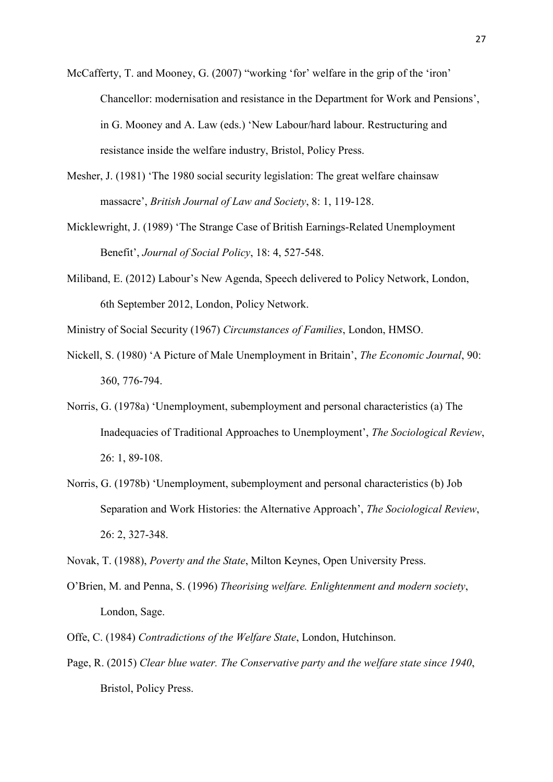- McCafferty, T. and Mooney, G. (2007) "working 'for' welfare in the grip of the 'iron' Chancellor: modernisation and resistance in the Department for Work and Pensions', in G. Mooney and A. Law (eds.) 'New Labour/hard labour. Restructuring and resistance inside the welfare industry, Bristol, Policy Press.
- Mesher, J. (1981) 'The 1980 social security legislation: The great welfare chainsaw massacre', *British Journal of Law and Society*, 8: 1, 119-128.
- Micklewright, J. (1989) 'The Strange Case of British Earnings-Related Unemployment Benefit', *Journal of Social Policy*, 18: 4, 527-548.
- Miliband, E. (2012) Labour's New Agenda, Speech delivered to Policy Network, London, 6th September 2012, London, Policy Network.
- Ministry of Social Security (1967) *Circumstances of Families*, London, HMSO.
- Nickell, S. (1980) 'A Picture of Male Unemployment in Britain', *The Economic Journal*, 90: 360, 776-794.
- Norris, G. (1978a) 'Unemployment, subemployment and personal characteristics (a) The Inadequacies of Traditional Approaches to Unemployment', *The Sociological Review*, 26: 1, 89-108.
- Norris, G. (1978b) 'Unemployment, subemployment and personal characteristics (b) Job Separation and Work Histories: the Alternative Approach', *The Sociological Review*, 26: 2, 327-348.
- Novak, T. (1988), *Poverty and the State*, Milton Keynes, Open University Press.
- O'Brien, M. and Penna, S. (1996) *Theorising welfare. Enlightenment and modern society*, London, Sage.
- Offe, C. (1984) *Contradictions of the Welfare State*, London, Hutchinson.
- Page, R. (2015) *Clear blue water. The Conservative party and the welfare state since 1940*, Bristol, Policy Press.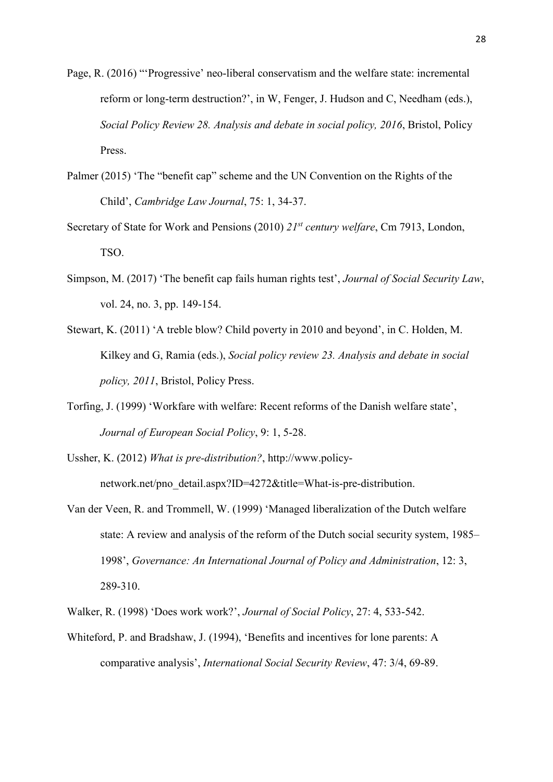- Page, R. (2016) "'Progressive' neo-liberal conservatism and the welfare state: incremental reform or long-term destruction?', in W, Fenger, J. Hudson and C, Needham (eds.), *Social Policy Review 28. Analysis and debate in social policy, 2016*, Bristol, Policy Press.
- Palmer (2015) 'The "benefit cap" scheme and the UN Convention on the Rights of the Child', *Cambridge Law Journal*, 75: 1, 34-37.
- Secretary of State for Work and Pensions (2010) *21st century welfare*, Cm 7913, London, TSO.
- Simpson, M. (2017) 'The benefit cap fails human rights test', *Journal of Social Security Law*, vol. 24, no. 3, pp. 149-154.
- Stewart, K. (2011) 'A treble blow? Child poverty in 2010 and beyond', in C. Holden, M. Kilkey and G, Ramia (eds.), *Social policy review 23. Analysis and debate in social policy, 2011*, Bristol, Policy Press.
- Torfing, J. (1999) 'Workfare with welfare: Recent reforms of the Danish welfare state', *Journal of European Social Policy*, 9: 1, 5-28.
- Ussher, K. (2012) *What is pre-distribution?*, http://www.policynetwork.net/pno\_detail.aspx?ID=4272&title=What-is-pre-distribution.
- Van der Veen, R. and Trommell, W. (1999) 'Managed liberalization of the Dutch welfare state: A review and analysis of the reform of the Dutch social security system, 1985– 1998', *Governance: An International Journal of Policy and Administration*, 12: 3, 289-310.
- Walker, R. (1998) 'Does work work?', *Journal of Social Policy*, 27: 4, 533-542.
- Whiteford, P. and Bradshaw, J. (1994), 'Benefits and incentives for lone parents: A comparative analysis', *International Social Security Review*, 47: 3/4, 69-89.